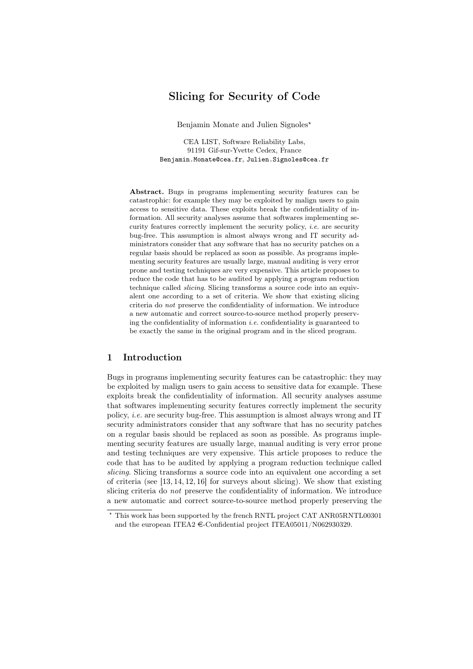# Slicing for Security of Code

Benjamin Monate and Julien Signoles<sup>\*</sup>

CEA LIST, Software Reliability Labs, 91191 Gif-sur-Yvette Cedex, France Benjamin.Monate@cea.fr, Julien.Signoles@cea.fr

Abstract. Bugs in programs implementing security features can be catastrophic: for example they may be exploited by malign users to gain access to sensitive data. These exploits break the confidentiality of information. All security analyses assume that softwares implementing security features correctly implement the security policy, i.e. are security bug-free. This assumption is almost always wrong and IT security administrators consider that any software that has no security patches on a regular basis should be replaced as soon as possible. As programs implementing security features are usually large, manual auditing is very error prone and testing techniques are very expensive. This article proposes to reduce the code that has to be audited by applying a program reduction technique called slicing. Slicing transforms a source code into an equivalent one according to a set of criteria. We show that existing slicing criteria do not preserve the confidentiality of information. We introduce a new automatic and correct source-to-source method properly preserving the confidentiality of information *i.e.* confidentiality is guaranteed to be exactly the same in the original program and in the sliced program.

# 1 Introduction

Bugs in programs implementing security features can be catastrophic: they may be exploited by malign users to gain access to sensitive data for example. These exploits break the confidentiality of information. All security analyses assume that softwares implementing security features correctly implement the security policy, i.e. are security bug-free. This assumption is almost always wrong and IT security administrators consider that any software that has no security patches on a regular basis should be replaced as soon as possible. As programs implementing security features are usually large, manual auditing is very error prone and testing techniques are very expensive. This article proposes to reduce the code that has to be audited by applying a program reduction technique called slicing. Slicing transforms a source code into an equivalent one according a set of criteria (see [13, 14, 12, 16] for surveys about slicing). We show that existing slicing criteria do not preserve the confidentiality of information. We introduce a new automatic and correct source-to-source method properly preserving the

<sup>?</sup> This work has been supported by the french RNTL project CAT ANR05RNTL00301 and the european ITEA2  $\in$ -Confidential project ITEA05011/N062930329.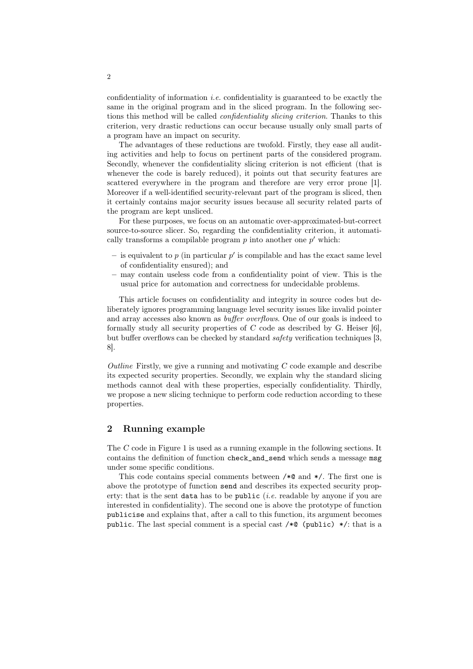confidentiality of information *i.e.* confidentiality is guaranteed to be exactly the same in the original program and in the sliced program. In the following sections this method will be called confidentiality slicing criterion. Thanks to this criterion, very drastic reductions can occur because usually only small parts of a program have an impact on security.

The advantages of these reductions are twofold. Firstly, they ease all auditing activities and help to focus on pertinent parts of the considered program. Secondly, whenever the confidentiality slicing criterion is not efficient (that is whenever the code is barely reduced), it points out that security features are scattered everywhere in the program and therefore are very error prone [1]. Moreover if a well-identified security-relevant part of the program is sliced, then it certainly contains major security issues because all security related parts of the program are kept unsliced.

For these purposes, we focus on an automatic over-approximated-but-correct source-to-source slicer. So, regarding the confidentiality criterion, it automatically transforms a compilable program  $p$  into another one  $p'$  which:

- is equivalent to p (in particular  $p'$  is compilable and has the exact same level of confidentiality ensured); and
- may contain useless code from a confidentiality point of view. This is the usual price for automation and correctness for undecidable problems.

This article focuses on confidentiality and integrity in source codes but deliberately ignores programming language level security issues like invalid pointer and array accesses also known as buffer overflows. One of our goals is indeed to formally study all security properties of  $C$  code as described by  $G$ . Heiser [6], but buffer overflows can be checked by standard safety verification techniques [3, 8].

Outline Firstly, we give a running and motivating  $C$  code example and describe its expected security properties. Secondly, we explain why the standard slicing methods cannot deal with these properties, especially confidentiality. Thirdly, we propose a new slicing technique to perform code reduction according to these properties.

### 2 Running example

The C code in Figure 1 is used as a running example in the following sections. It contains the definition of function check\_and\_send which sends a message msg under some specific conditions.

This code contains special comments between  $/*@$  and  $*/$ . The first one is above the prototype of function send and describes its expected security property: that is the sent data has to be public *(i.e.* readable by anyone if you are interested in confidentiality). The second one is above the prototype of function publicise and explains that, after a call to this function, its argument becomes public. The last special comment is a special cast  $/*$  (public) \*/: that is a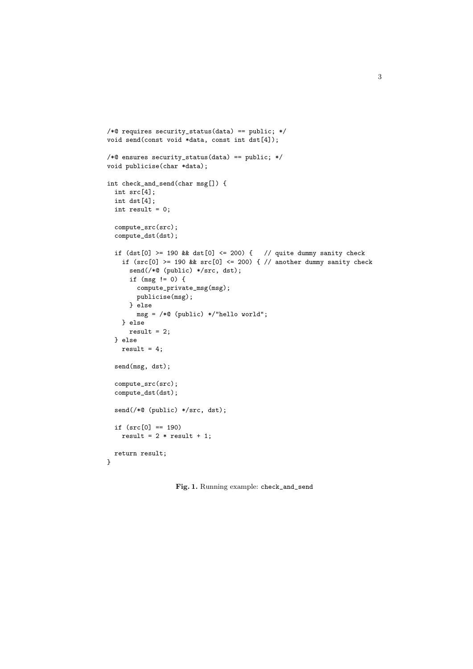```
/*@ requires security_status(data) == public; */
void send(const void *data, const int dst[4]);
/*@ ensures security_status(data) == public; */
void publicise(char *data);
int check_and_send(char msg[]) {
 int src[4];
 int dst[4];
 int result = 0;
 compute_src(src);
 compute_dst(dst);
  if (dst[0] >= 190 && dst[0] <= 200) { // quite dummy sanity check
    if (src[0] >= 190 && src[0] <= 200) { // another dummy sanity check
      send(/*@ (public) */src, dst);
     if (msg = 0) {
       compute_private_msg(msg);
       publicise(msg);
     } else
       msg = /*@ (public) */"hello world";
    } else
     result = 2;
 } else
   result = 4;send(msg, dst);
 compute_src(src);
 compute_dst(dst);
 send(/*@ (public) */src, dst);
 if (src[0] == 190)
   result = 2 * result + 1;
 return result;
}
```
Fig. 1. Running example: check\_and\_send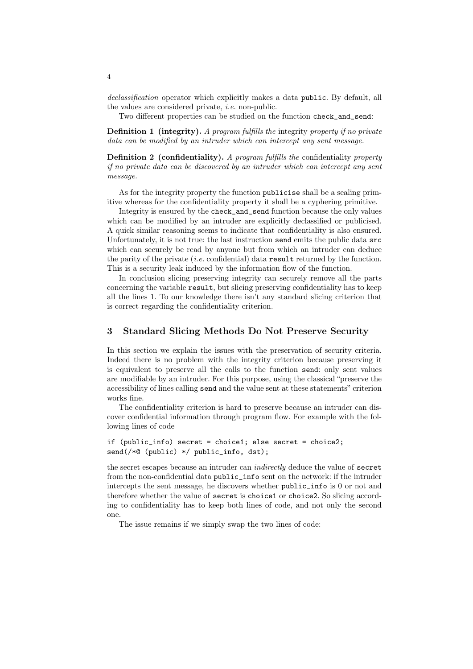declassification operator which explicitly makes a data public. By default, all the values are considered private, i.e. non-public.

Two different properties can be studied on the function check\_and\_send:

**Definition 1 (integrity).** A program fulfills the integrity property if no private data can be modified by an intruder which can intercept any sent message.

Definition 2 (confidentiality). A program fulfills the confidentiality property if no private data can be discovered by an intruder which can intercept any sent message.

As for the integrity property the function publicise shall be a sealing primitive whereas for the confidentiality property it shall be a cyphering primitive.

Integrity is ensured by the check\_and\_send function because the only values which can be modified by an intruder are explicitly declassified or publicised. A quick similar reasoning seems to indicate that confidentiality is also ensured. Unfortunately, it is not true: the last instruction send emits the public data src which can securely be read by anyone but from which an intruder can deduce the parity of the private  $(i.e.$  confidential) data result returned by the function. This is a security leak induced by the information flow of the function.

In conclusion slicing preserving integrity can securely remove all the parts concerning the variable result, but slicing preserving confidentiality has to keep all the lines 1. To our knowledge there isn't any standard slicing criterion that is correct regarding the confidentiality criterion.

### 3 Standard Slicing Methods Do Not Preserve Security

In this section we explain the issues with the preservation of security criteria. Indeed there is no problem with the integrity criterion because preserving it is equivalent to preserve all the calls to the function send: only sent values are modifiable by an intruder. For this purpose, using the classical "preserve the accessibility of lines calling send and the value sent at these statements" criterion works fine.

The confidentiality criterion is hard to preserve because an intruder can discover confidential information through program flow. For example with the following lines of code

```
if (public_info) secret = choice1; else secret = choice2;
send(/*@ (public) */ public_info, dst);
```
the secret escapes because an intruder can *indirectly* deduce the value of secret from the non-confidential data public\_info sent on the network: if the intruder intercepts the sent message, he discovers whether public\_info is 0 or not and therefore whether the value of secret is choice1 or choice2. So slicing according to confidentiality has to keep both lines of code, and not only the second one.

The issue remains if we simply swap the two lines of code: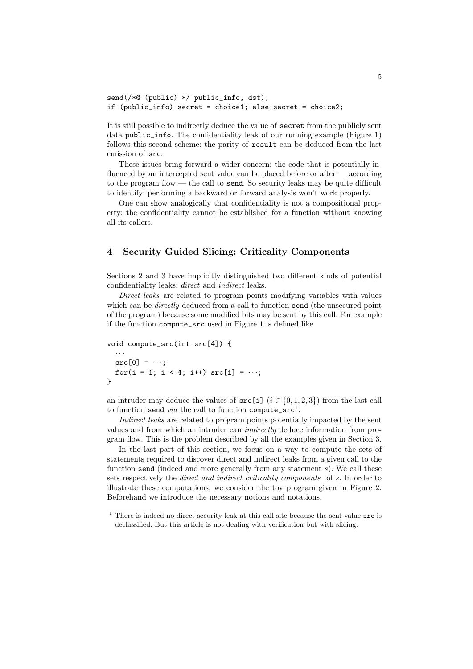```
send(/*@ (public) */ public_info, dst);
if (public_info) secret = choice1; else secret = choice2;
```
It is still possible to indirectly deduce the value of secret from the publicly sent data public\_info. The confidentiality leak of our running example (Figure 1) follows this second scheme: the parity of result can be deduced from the last emission of src.

These issues bring forward a wider concern: the code that is potentially influenced by an intercepted sent value can be placed before or after — according to the program flow — the call to send. So security leaks may be quite difficult to identify: performing a backward or forward analysis won't work properly.

One can show analogically that confidentiality is not a compositional property: the confidentiality cannot be established for a function without knowing all its callers.

## 4 Security Guided Slicing: Criticality Components

Sections 2 and 3 have implicitly distinguished two different kinds of potential confidentiality leaks: direct and indirect leaks.

Direct leaks are related to program points modifying variables with values which can be *directly* deduced from a call to function send (the unsecured point of the program) because some modified bits may be sent by this call. For example if the function compute\_src used in Figure 1 is defined like

```
void compute_src(int src[4]) {
  · · ·
  src[0] = …;for(i = 1; i < 4; i++) src[i] = ···;
}
```
an intruder may deduce the values of  $src[i]$   $(i \in \{0, 1, 2, 3\})$  from the last call to function send  $via$  the call to function compute\_src<sup>1</sup>.

Indirect leaks are related to program points potentially impacted by the sent values and from which an intruder can indirectly deduce information from program flow. This is the problem described by all the examples given in Section 3.

In the last part of this section, we focus on a way to compute the sets of statements required to discover direct and indirect leaks from a given call to the function send (indeed and more generally from any statement  $s$ ). We call these sets respectively the *direct and indirect criticality components* of s. In order to illustrate these computations, we consider the toy program given in Figure 2. Beforehand we introduce the necessary notions and notations.

 $1$  There is indeed no direct security leak at this call site because the sent value  $src$  is declassified. But this article is not dealing with verification but with slicing.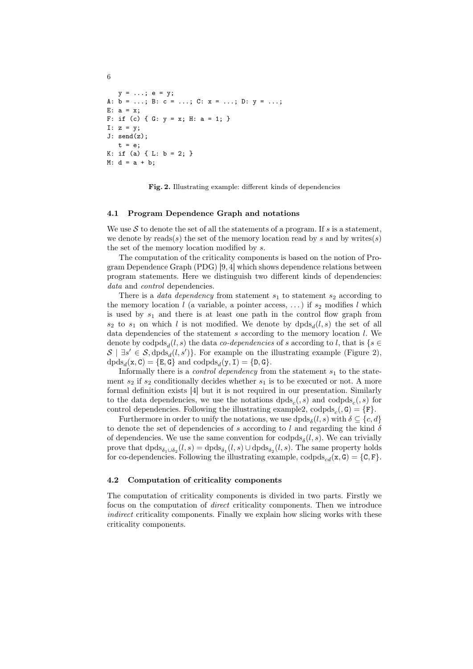```
y = ...; e = y;A: b = ...; B: c = ...; C: x = ...; D: y = ...;E: a = x;
F: if (c) { G: y = x; H: a = 1; }
I: z = y;J: send(z):t = e:
K: if (a) \{ L: b = 2; \}M: d = a + b;
```
6

Fig. 2. Illustrating example: different kinds of dependencies

#### 4.1 Program Dependence Graph and notations

We use  $S$  to denote the set of all the statements of a program. If s is a statement, we denote by reads(s) the set of the memory location read by s and by writes(s) the set of the memory location modified by s.

The computation of the criticality components is based on the notion of Program Dependence Graph (PDG) [9, 4] which shows dependence relations between program statements. Here we distinguish two different kinds of dependencies: data and *control* dependencies.

There is a *data dependency* from statement  $s_1$  to statement  $s_2$  according to the memory location l (a variable, a pointer access, ...) if  $s_2$  modifies l which is used by  $s_1$  and there is at least one path in the control flow graph from  $s_2$  to  $s_1$  on which l is not modified. We denote by  $dpds_d(l, s)$  the set of all data dependencies of the statement  $s$  according to the memory location  $l$ . We denote by  $\text{codpds}_{d}(l, s)$  the data *co-dependencies* of s according to l, that is  $\{s \in$  $S$  | ∃s' ∈ S, dpds<sub>d</sub>(l, s')}. For example on the illustrating example (Figure 2),  $d\text{pds}_d(\mathbf{x}, \mathbf{C}) = \{\mathbf{E}, \mathbf{G}\}$  and  $\text{codpds}_d(\mathbf{y}, \mathbf{I}) = \{\mathbf{D}, \mathbf{G}\}.$ 

Informally there is a *control dependency* from the statement  $s_1$  to the statement  $s_2$  if  $s_2$  conditionally decides whether  $s_1$  is to be executed or not. A more formal definition exists [4] but it is not required in our presentation. Similarly to the data dependencies, we use the notations  $dpds_c(s)$  and  $codpds_c(s)$  for control dependencies. Following the illustrating example2,  $\text{codpds}_c$ ,  $\mathbf{G} = \{ \mathbf{F} \}.$ 

Furthermore in order to unify the notations, we use  $dpls_{\delta}(l, s)$  with  $\delta \subseteq \{c, d\}$ to denote the set of dependencies of s according to l and regarding the kind  $\delta$ of dependencies. We use the same convention for  $\text{codpds}_{\delta}(l, s)$ . We can trivially prove that  $d\text{pds}_{\delta_1\cup\delta_2}(l, s) = d\text{pds}_{\delta_1}(l, s) \cup d\text{pds}_{\delta_2}(l, s)$ . The same property holds for co-dependencies. Following the illustrating example,  $\text{codpds}_{cd}(x, G) = \{C, F\}.$ 

#### 4.2 Computation of criticality components

The computation of criticality components is divided in two parts. Firstly we focus on the computation of direct criticality components. Then we introduce indirect criticality components. Finally we explain how slicing works with these criticality components.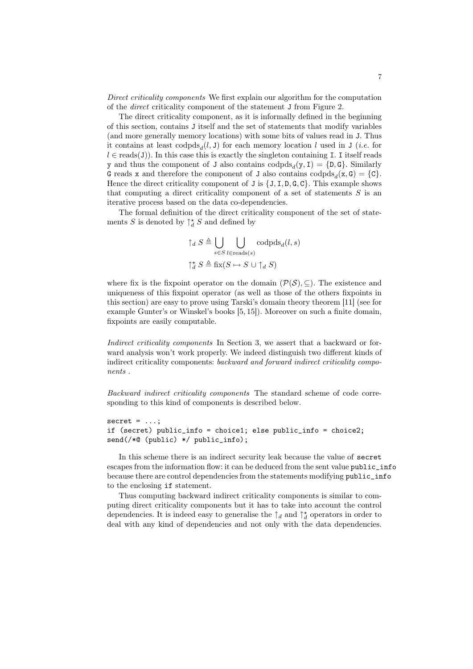Direct criticality components We first explain our algorithm for the computation of the direct criticality component of the statement J from Figure 2.

The direct criticality component, as it is informally defined in the beginning of this section, contains J itself and the set of statements that modify variables (and more generally memory locations) with some bits of values read in J. Thus it contains at least  $\text{codpds}_{d}(l, J)$  for each memory location l used in J (*i.e.* for  $l \in \text{reads}(J)$ ). In this case this is exactly the singleton containing I. I itself reads y and thus the component of J also contains  $\text{codpds}_d(y, I) = \{D, G\}$ . Similarly G reads x and therefore the component of J also contains  $\text{codpds}_d(\mathbf{x}, \mathbf{G}) = \{C\}.$ Hence the direct criticality component of J is  $\{J, I, D, G, C\}$ . This example shows that computing a direct criticality component of a set of statements  $S$  is an iterative process based on the data co-dependencies.

The formal definition of the direct criticality component of the set of statements S is denoted by  $\uparrow_d^{\star} S$  and defined by

$$
\uparrow_d S \triangleq \bigcup_{s \in S} \bigcup_{l \in \text{reads}(s)} \text{codpds}_d(l, s)
$$
  

$$
\uparrow_d^* S \triangleq \text{fix}(S \mapsto S \cup \uparrow_d S)
$$

where fix is the fixpoint operator on the domain  $(\mathcal{P}(\mathcal{S}), \subseteq)$ . The existence and uniqueness of this fixpoint operator (as well as those of the others fixpoints in this section) are easy to prove using Tarski's domain theory theorem [11] (see for example Gunter's or Winskel's books [5, 15]). Moreover on such a finite domain, fixpoints are easily computable.

Indirect criticality components In Section 3, we assert that a backward or forward analysis won't work properly. We indeed distinguish two different kinds of indirect criticality components: backward and forward indirect criticality components .

Backward indirect criticality components The standard scheme of code corresponding to this kind of components is described below.

```
secret = ...;if (secret) public_info = choice1; else public_info = choice2;
send(/*@ (public) */ public_info);
```
In this scheme there is an indirect security leak because the value of secret escapes from the information flow: it can be deduced from the sent value public\_info because there are control dependencies from the statements modifying public\_info to the enclosing if statement.

Thus computing backward indirect criticality components is similar to computing direct criticality components but it has to take into account the control dependencies. It is indeed easy to generalise the  $\uparrow_d$  and  $\uparrow_d^\star$  operators in order to deal with any kind of dependencies and not only with the data dependencies.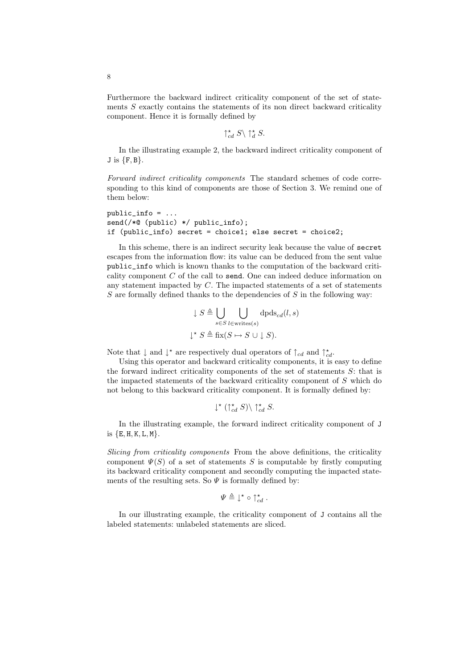Furthermore the backward indirect criticality component of the set of statements S exactly contains the statements of its non direct backward criticality component. Hence it is formally defined by

 $\uparrow_{cd}^{\star} S \setminus \uparrow_d^{\star} S$ .

In the illustrating example 2, the backward indirect criticality component of J is  $\{F, B\}$ .

Forward indirect criticality components The standard schemes of code corresponding to this kind of components are those of Section 3. We remind one of them below:

```
public_info = ...send(/*@ (public) */ public_info);
if (public_info) secret = choice1; else secret = choice2;
```
In this scheme, there is an indirect security leak because the value of secret escapes from the information flow: its value can be deduced from the sent value public\_info which is known thanks to the computation of the backward criticality component C of the call to send. One can indeed deduce information on any statement impacted by  $C$ . The impacted statements of a set of statements S are formally defined thanks to the dependencies of  $S$  in the following way:

$$
\downarrow S \triangleq \bigcup_{s \in S} \bigcup_{l \in \text{writes}(s)} \text{dpds}_{cd}(l, s)
$$
  

$$
\downarrow^* S \triangleq \text{fix}(S \mapsto S \cup \downarrow S).
$$

Note that  $\downarrow$  and  $\downarrow^*$  are respectively dual operators of  $\uparrow_{cd}$  and  $\uparrow_{cd}^*$ .

Using this operator and backward criticality components, it is easy to define the forward indirect criticality components of the set of statements  $S$ : that is the impacted statements of the backward criticality component of S which do not belong to this backward criticality component. It is formally defined by:

$$
\downarrow^{\star} (\uparrow_{cd}^{\star} S) \backslash \uparrow_{cd}^{\star} S.
$$

In the illustrating example, the forward indirect criticality component of J is  $\{E, H, K, L, M\}$ .

Slicing from criticality components From the above definitions, the criticality component  $\Psi(S)$  of a set of statements S is computable by firstly computing its backward criticality component and secondly computing the impacted statements of the resulting sets. So  $\Psi$  is formally defined by:

$$
\Psi \triangleq \downarrow^{\star} \circ \uparrow_{cd}^{\star}.
$$

In our illustrating example, the criticality component of J contains all the labeled statements: unlabeled statements are sliced.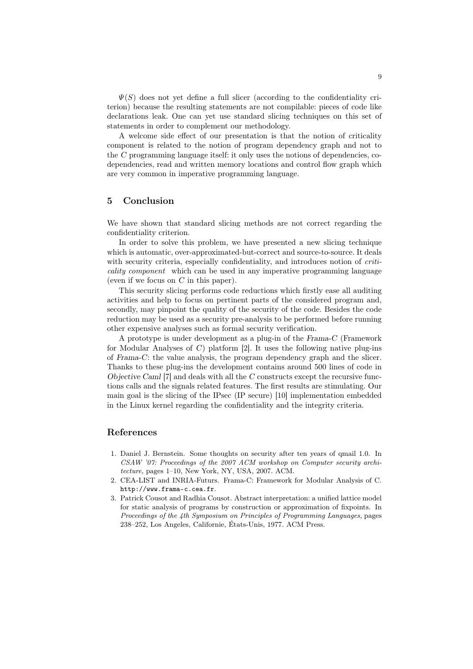$\Psi(S)$  does not yet define a full slicer (according to the confidentiality criterion) because the resulting statements are not compilable: pieces of code like declarations leak. One can yet use standard slicing techniques on this set of statements in order to complement our methodology.

A welcome side effect of our presentation is that the notion of criticality component is related to the notion of program dependency graph and not to the C programming language itself: it only uses the notions of dependencies, codependencies, read and written memory locations and control flow graph which are very common in imperative programming language.

#### 5 Conclusion

We have shown that standard slicing methods are not correct regarding the confidentiality criterion.

In order to solve this problem, we have presented a new slicing technique which is automatic, over-approximated-but-correct and source-to-source. It deals with security criteria, especially confidentiality, and introduces notion of *criti*cality component which can be used in any imperative programming language (even if we focus on C in this paper).

This security slicing performs code reductions which firstly ease all auditing activities and help to focus on pertinent parts of the considered program and, secondly, may pinpoint the quality of the security of the code. Besides the code reduction may be used as a security pre-analysis to be performed before running other expensive analyses such as formal security verification.

A prototype is under development as a plug-in of the Frama-C (Framework for Modular Analyses of C) platform [2]. It uses the following native plug-ins of Frama-C: the value analysis, the program dependency graph and the slicer. Thanks to these plug-ins the development contains around 500 lines of code in Objective Caml [7] and deals with all the C constructs except the recursive functions calls and the signals related features. The first results are stimulating. Our main goal is the slicing of the IPsec (IP secure) [10] implementation embedded in the Linux kernel regarding the confidentiality and the integrity criteria.

#### References

- 1. Daniel J. Bernstein. Some thoughts on security after ten years of qmail 1.0. In CSAW '07: Proceedings of the 2007 ACM workshop on Computer security architecture, pages 1–10, New York, NY, USA, 2007. ACM.
- 2. CEA-LIST and INRIA-Futurs. Frama-C: Framework for Modular Analysis of C. http://www.frama-c.cea.fr.
- 3. Patrick Cousot and Radhia Cousot. Abstract interpretation: a unified lattice model for static analysis of programs by construction or approximation of fixpoints. In Proceedings of the 4th Symposium on Principles of Programming Languages, pages 238–252, Los Angeles, Californie, États-Unis, 1977. ACM Press.